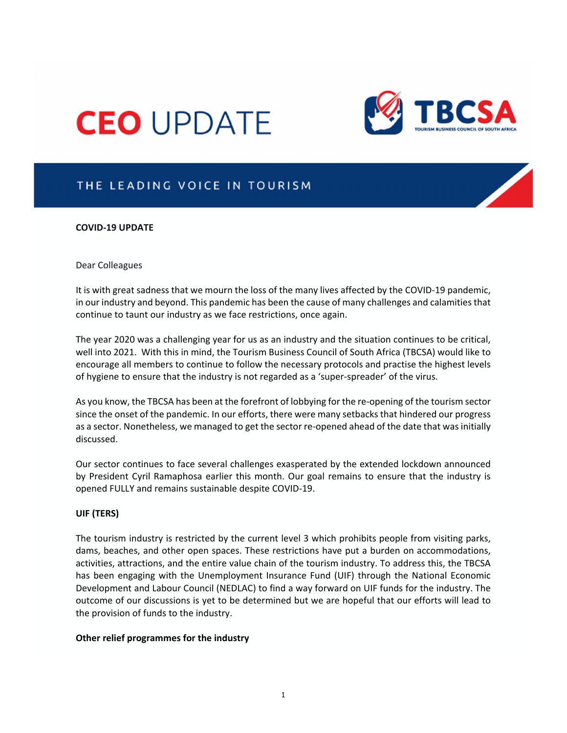# **CEO UPDATE**



## THE LEADING VOICE IN TOURISM

#### **COVID‐19 UPDATE**

#### Dear Colleagues

It is with great sadness that we mourn the loss of the many lives affected by the COVID‐19 pandemic, in our industry and beyond. This pandemic has been the cause of many challenges and calamitiesthat continue to taunt our industry as we face restrictions, once again.

The year 2020 was a challenging year for us as an industry and the situation continues to be critical, well into 2021. With this in mind, the Tourism Business Council of South Africa (TBCSA) would like to encourage all members to continue to follow the necessary protocols and practise the highest levels of hygiene to ensure that the industry is not regarded as a 'super‐spreader' of the virus.

As you know, the TBCSA has been at the forefront of lobbying for the re-opening of the tourism sector since the onset of the pandemic. In our efforts, there were many setbacks that hindered our progress as a sector. Nonetheless, we managed to get the sector re-opened ahead of the date that was initially discussed.

Our sector continues to face several challenges exasperated by the extended lockdown announced by President Cyril Ramaphosa earlier this month. Our goal remains to ensure that the industry is opened FULLY and remains sustainable despite COVID‐19.

#### **UIF (TERS)**

The tourism industry is restricted by the current level 3 which prohibits people from visiting parks, dams, beaches, and other open spaces. These restrictions have put a burden on accommodations, activities, attractions, and the entire value chain of the tourism industry. To address this, the TBCSA has been engaging with the Unemployment Insurance Fund (UIF) through the National Economic Development and Labour Council (NEDLAC) to find a way forward on UIF funds for the industry. The outcome of our discussions is yet to be determined but we are hopeful that our efforts will lead to the provision of funds to the industry.

#### **Other relief programmes for the industry**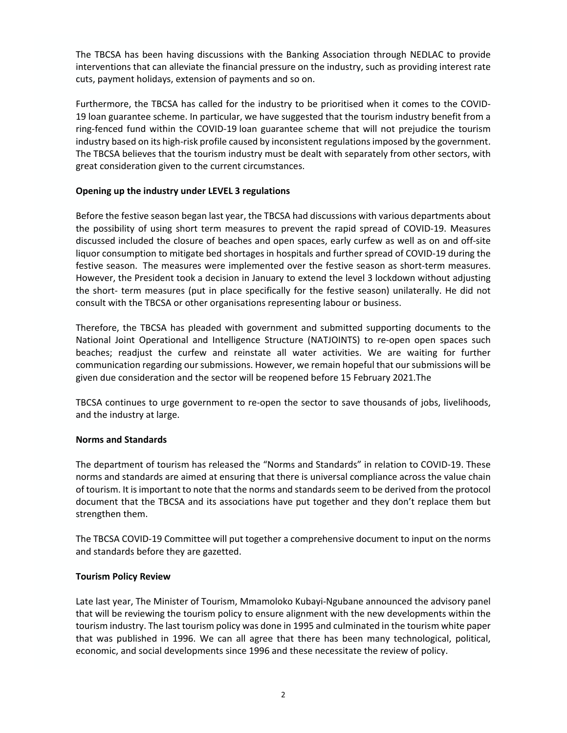The TBCSA has been having discussions with the Banking Association through NEDLAC to provide interventions that can alleviate the financial pressure on the industry, such as providing interest rate cuts, payment holidays, extension of payments and so on.

Furthermore, the TBCSA has called for the industry to be prioritised when it comes to the COVID‐ 19 loan guarantee scheme. In particular, we have suggested that the tourism industry benefit from a ring‐fenced fund within the COVID‐19 loan guarantee scheme that will not prejudice the tourism industry based on its high‐risk profile caused by inconsistent regulationsimposed by the government. The TBCSA believes that the tourism industry must be dealt with separately from other sectors, with great consideration given to the current circumstances.

### **Opening up the industry under LEVEL 3 regulations**

Before the festive season began last year, the TBCSA had discussions with various departments about the possibility of using short term measures to prevent the rapid spread of COVID‐19. Measures discussed included the closure of beaches and open spaces, early curfew as well as on and off‐site liquor consumption to mitigate bed shortages in hospitals and further spread of COVID‐19 during the festive season. The measures were implemented over the festive season as short-term measures. However, the President took a decision in January to extend the level 3 lockdown without adjusting the short‐ term measures (put in place specifically for the festive season) unilaterally. He did not consult with the TBCSA or other organisations representing labour or business.

Therefore, the TBCSA has pleaded with government and submitted supporting documents to the National Joint Operational and Intelligence Structure (NATJOINTS) to re‐open open spaces such beaches; readjust the curfew and reinstate all water activities. We are waiting for further communication regarding our submissions. However, we remain hopeful that our submissions will be given due consideration and the sector will be reopened before 15 February 2021.The

TBCSA continues to urge government to re‐open the sector to save thousands of jobs, livelihoods, and the industry at large.

#### **Norms and Standards**

The department of tourism has released the "Norms and Standards" in relation to COVID‐19. These norms and standards are aimed at ensuring that there is universal compliance across the value chain of tourism. It isimportant to note that the norms and standardsseem to be derived from the protocol document that the TBCSA and its associations have put together and they don't replace them but strengthen them.

The TBCSA COVID‐19 Committee will put together a comprehensive document to input on the norms and standards before they are gazetted.

#### **Tourism Policy Review**

Late last year, The Minister of Tourism, Mmamoloko Kubayi‐Ngubane announced the advisory panel that will be reviewing the tourism policy to ensure alignment with the new developments within the tourism industry. The last tourism policy was done in 1995 and culminated in the tourism white paper that was published in 1996. We can all agree that there has been many technological, political, economic, and social developments since 1996 and these necessitate the review of policy.